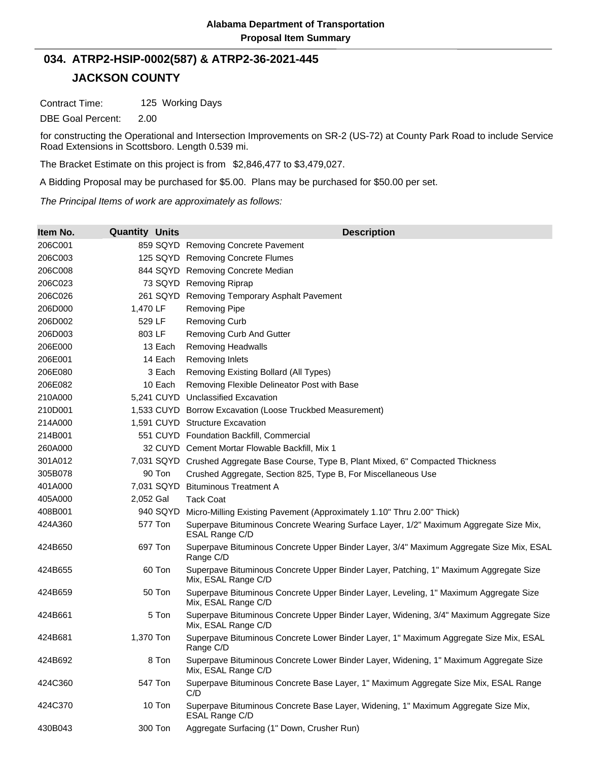## **JACKSON COUNTY 034. ATRP2-HSIP-0002(587) & ATRP2-36-2021-445**

Contract Time: 125 Working Days

DBE Goal Percent: 2.00

for constructing the Operational and Intersection Improvements on SR-2 (US-72) at County Park Road to include Service Road Extensions in Scottsboro. Length 0.539 mi.

The Bracket Estimate on this project is from \$2,846,477 to \$3,479,027.

A Bidding Proposal may be purchased for \$5.00. Plans may be purchased for \$50.00 per set.

*The Principal Items of work are approximately as follows:*

| Item No. | <b>Quantity Units</b> | <b>Description</b>                                                                                             |
|----------|-----------------------|----------------------------------------------------------------------------------------------------------------|
| 206C001  |                       | 859 SQYD Removing Concrete Pavement                                                                            |
| 206C003  |                       | 125 SQYD Removing Concrete Flumes                                                                              |
| 206C008  |                       | 844 SQYD Removing Concrete Median                                                                              |
| 206C023  |                       | 73 SQYD Removing Riprap                                                                                        |
| 206C026  | 261 SQYD              | Removing Temporary Asphalt Pavement                                                                            |
| 206D000  | 1,470 LF              | <b>Removing Pipe</b>                                                                                           |
| 206D002  | 529 LF                | <b>Removing Curb</b>                                                                                           |
| 206D003  | 803 LF                | <b>Removing Curb And Gutter</b>                                                                                |
| 206E000  | 13 Each               | <b>Removing Headwalls</b>                                                                                      |
| 206E001  | 14 Each               | <b>Removing Inlets</b>                                                                                         |
| 206E080  | 3 Each                | Removing Existing Bollard (All Types)                                                                          |
| 206E082  | 10 Each               | Removing Flexible Delineator Post with Base                                                                    |
| 210A000  |                       | 5,241 CUYD Unclassified Excavation                                                                             |
| 210D001  |                       | 1,533 CUYD Borrow Excavation (Loose Truckbed Measurement)                                                      |
| 214A000  |                       | 1,591 CUYD Structure Excavation                                                                                |
| 214B001  |                       | 551 CUYD Foundation Backfill, Commercial                                                                       |
| 260A000  |                       | 32 CUYD Cement Mortar Flowable Backfill, Mix 1                                                                 |
| 301A012  |                       | 7,031 SQYD Crushed Aggregate Base Course, Type B, Plant Mixed, 6" Compacted Thickness                          |
| 305B078  | 90 Ton                | Crushed Aggregate, Section 825, Type B, For Miscellaneous Use                                                  |
| 401A000  | 7,031 SQYD            | <b>Bituminous Treatment A</b>                                                                                  |
| 405A000  | 2,052 Gal             | <b>Tack Coat</b>                                                                                               |
| 408B001  | 940 SQYD              | Micro-Milling Existing Pavement (Approximately 1.10" Thru 2.00" Thick)                                         |
| 424A360  | 577 Ton               | Superpave Bituminous Concrete Wearing Surface Layer, 1/2" Maximum Aggregate Size Mix,<br>ESAL Range C/D        |
| 424B650  | 697 Ton               | Superpave Bituminous Concrete Upper Binder Layer, 3/4" Maximum Aggregate Size Mix, ESAL<br>Range C/D           |
| 424B655  | 60 Ton                | Superpave Bituminous Concrete Upper Binder Layer, Patching, 1" Maximum Aggregate Size<br>Mix, ESAL Range C/D   |
| 424B659  | 50 Ton                | Superpave Bituminous Concrete Upper Binder Layer, Leveling, 1" Maximum Aggregate Size<br>Mix, ESAL Range C/D   |
| 424B661  | 5 Ton                 | Superpave Bituminous Concrete Upper Binder Layer, Widening, 3/4" Maximum Aggregate Size<br>Mix, ESAL Range C/D |
| 424B681  | 1,370 Ton             | Superpave Bituminous Concrete Lower Binder Layer, 1" Maximum Aggregate Size Mix, ESAL<br>Range C/D             |
| 424B692  | 8 Ton                 | Superpave Bituminous Concrete Lower Binder Layer, Widening, 1" Maximum Aggregate Size<br>Mix, ESAL Range C/D   |
| 424C360  | 547 Ton               | Superpave Bituminous Concrete Base Layer, 1" Maximum Aggregate Size Mix, ESAL Range<br>C/D                     |
| 424C370  | 10 Ton                | Superpave Bituminous Concrete Base Layer, Widening, 1" Maximum Aggregate Size Mix,<br>ESAL Range C/D           |
| 430B043  | 300 Ton               | Aggregate Surfacing (1" Down, Crusher Run)                                                                     |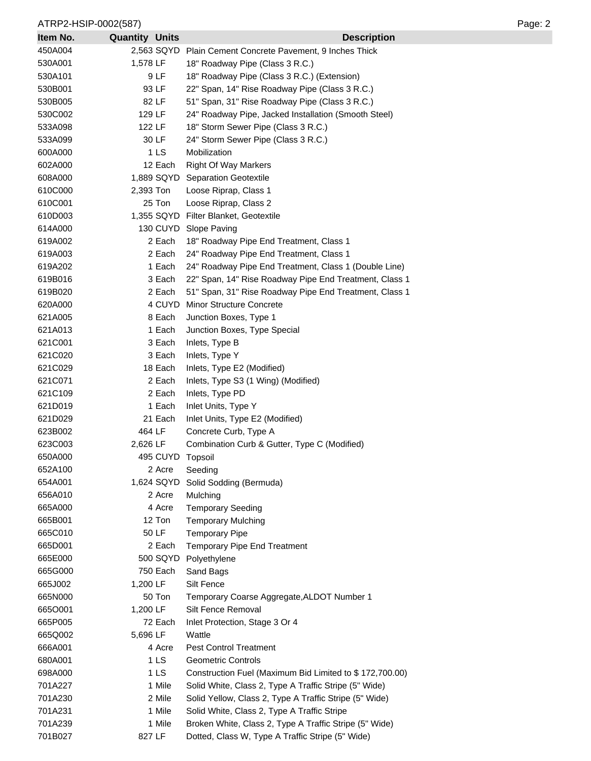## ATRP2-HSIP-0002(587) Page: 2

| Item No. | <b>Quantity Units</b> |                 | <b>Description</b>                                      |
|----------|-----------------------|-----------------|---------------------------------------------------------|
| 450A004  |                       | 2,563 SQYD      | Plain Cement Concrete Pavement, 9 Inches Thick          |
| 530A001  | 1,578 LF              |                 | 18" Roadway Pipe (Class 3 R.C.)                         |
| 530A101  |                       | 9 LF            | 18" Roadway Pipe (Class 3 R.C.) (Extension)             |
| 530B001  |                       | 93 LF           | 22" Span, 14" Rise Roadway Pipe (Class 3 R.C.)          |
| 530B005  |                       | 82 LF           | 51" Span, 31" Rise Roadway Pipe (Class 3 R.C.)          |
| 530C002  | 129 LF                |                 | 24" Roadway Pipe, Jacked Installation (Smooth Steel)    |
| 533A098  | 122 LF                |                 | 18" Storm Sewer Pipe (Class 3 R.C.)                     |
| 533A099  |                       | 30 LF           | 24" Storm Sewer Pipe (Class 3 R.C.)                     |
| 600A000  |                       | 1 <sub>LS</sub> | Mobilization                                            |
| 602A000  |                       | 12 Each         | <b>Right Of Way Markers</b>                             |
| 608A000  |                       |                 | 1,889 SQYD Separation Geotextile                        |
| 610C000  | 2,393 Ton             |                 | Loose Riprap, Class 1                                   |
| 610C001  |                       | 25 Ton          | Loose Riprap, Class 2                                   |
| 610D003  |                       |                 | 1,355 SQYD Filter Blanket, Geotextile                   |
| 614A000  |                       |                 | 130 CUYD Slope Paving                                   |
| 619A002  |                       | 2 Each          | 18" Roadway Pipe End Treatment, Class 1                 |
| 619A003  |                       | 2 Each          | 24" Roadway Pipe End Treatment, Class 1                 |
| 619A202  |                       | 1 Each          | 24" Roadway Pipe End Treatment, Class 1 (Double Line)   |
| 619B016  |                       | 3 Each          | 22" Span, 14" Rise Roadway Pipe End Treatment, Class 1  |
| 619B020  |                       | 2 Each          | 51" Span, 31" Rise Roadway Pipe End Treatment, Class 1  |
| 620A000  |                       | 4 CUYD          | Minor Structure Concrete                                |
| 621A005  |                       | 8 Each          | Junction Boxes, Type 1                                  |
| 621A013  |                       | 1 Each          | Junction Boxes, Type Special                            |
| 621C001  |                       | 3 Each          | Inlets, Type B                                          |
| 621C020  |                       | 3 Each          | Inlets, Type Y                                          |
| 621C029  |                       | 18 Each         | Inlets, Type E2 (Modified)                              |
| 621C071  |                       | 2 Each          | Inlets, Type S3 (1 Wing) (Modified)                     |
| 621C109  |                       | 2 Each          | Inlets, Type PD                                         |
| 621D019  |                       | 1 Each          | Inlet Units, Type Y                                     |
| 621D029  |                       | 21 Each         | Inlet Units, Type E2 (Modified)                         |
| 623B002  | 464 LF                |                 | Concrete Curb, Type A                                   |
| 623C003  | 2,626 LF              |                 | Combination Curb & Gutter, Type C (Modified)            |
| 650A000  |                       | 495 CUYD        | Topsoil                                                 |
| 652A100  |                       | 2 Acre          | Seeding                                                 |
| 654A001  |                       | 1,624 SQYD      | Solid Sodding (Bermuda)                                 |
| 656A010  |                       | 2 Acre          | Mulching                                                |
| 665A000  |                       | 4 Acre          | <b>Temporary Seeding</b>                                |
| 665B001  |                       | 12 Ton          | <b>Temporary Mulching</b>                               |
| 665C010  |                       | 50 LF           | <b>Temporary Pipe</b>                                   |
| 665D001  |                       | 2 Each          | <b>Temporary Pipe End Treatment</b>                     |
| 665E000  |                       | 500 SQYD        | Polyethylene                                            |
| 665G000  |                       | 750 Each        | Sand Bags                                               |
| 665J002  | 1,200 LF              |                 | Silt Fence                                              |
| 665N000  |                       | 50 Ton          | Temporary Coarse Aggregate, ALDOT Number 1              |
| 6650001  | 1,200 LF              |                 | Silt Fence Removal                                      |
| 665P005  |                       | 72 Each         | Inlet Protection, Stage 3 Or 4                          |
| 665Q002  | 5,696 LF              |                 | Wattle                                                  |
| 666A001  |                       | 4 Acre          | <b>Pest Control Treatment</b>                           |
| 680A001  |                       | 1 LS            | <b>Geometric Controls</b>                               |
| 698A000  |                       | 1LS             | Construction Fuel (Maximum Bid Limited to \$172,700.00) |
| 701A227  |                       | 1 Mile          | Solid White, Class 2, Type A Traffic Stripe (5" Wide)   |
| 701A230  |                       | 2 Mile          | Solid Yellow, Class 2, Type A Traffic Stripe (5" Wide)  |
| 701A231  |                       | 1 Mile          | Solid White, Class 2, Type A Traffic Stripe             |
| 701A239  |                       | 1 Mile          | Broken White, Class 2, Type A Traffic Stripe (5" Wide)  |
| 701B027  | 827 LF                |                 | Dotted, Class W, Type A Traffic Stripe (5" Wide)        |